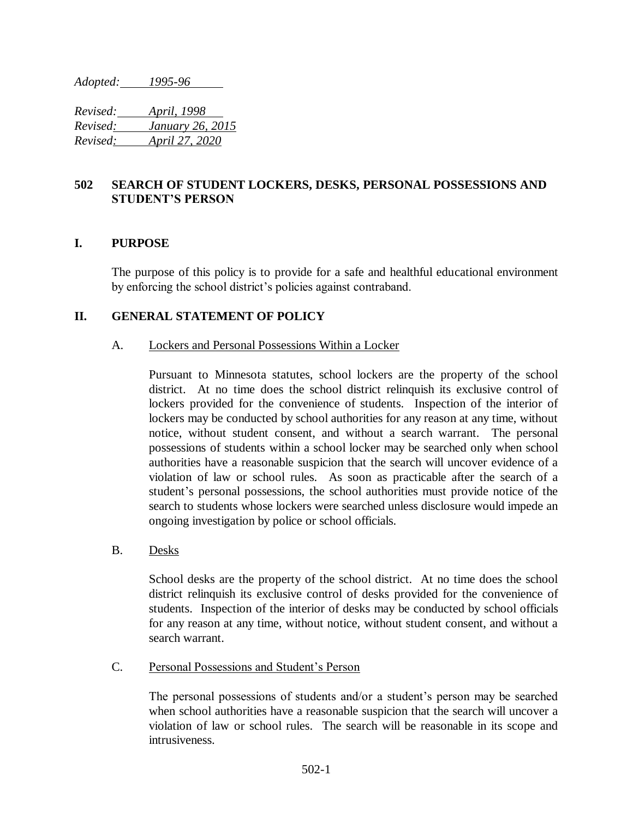*Adopted: 1995-96*

*Revised: April, 1998 Revised: January 26, 2015 Revised: April 27, 2020*

# **502 SEARCH OF STUDENT LOCKERS, DESKS, PERSONAL POSSESSIONS AND STUDENT'S PERSON**

## **I. PURPOSE**

The purpose of this policy is to provide for a safe and healthful educational environment by enforcing the school district's policies against contraband.

## **II. GENERAL STATEMENT OF POLICY**

#### A. Lockers and Personal Possessions Within a Locker

Pursuant to Minnesota statutes, school lockers are the property of the school district. At no time does the school district relinquish its exclusive control of lockers provided for the convenience of students. Inspection of the interior of lockers may be conducted by school authorities for any reason at any time, without notice, without student consent, and without a search warrant. The personal possessions of students within a school locker may be searched only when school authorities have a reasonable suspicion that the search will uncover evidence of a violation of law or school rules. As soon as practicable after the search of a student's personal possessions, the school authorities must provide notice of the search to students whose lockers were searched unless disclosure would impede an ongoing investigation by police or school officials.

B. Desks

School desks are the property of the school district. At no time does the school district relinquish its exclusive control of desks provided for the convenience of students. Inspection of the interior of desks may be conducted by school officials for any reason at any time, without notice, without student consent, and without a search warrant.

C. Personal Possessions and Student's Person

The personal possessions of students and/or a student's person may be searched when school authorities have a reasonable suspicion that the search will uncover a violation of law or school rules. The search will be reasonable in its scope and intrusiveness.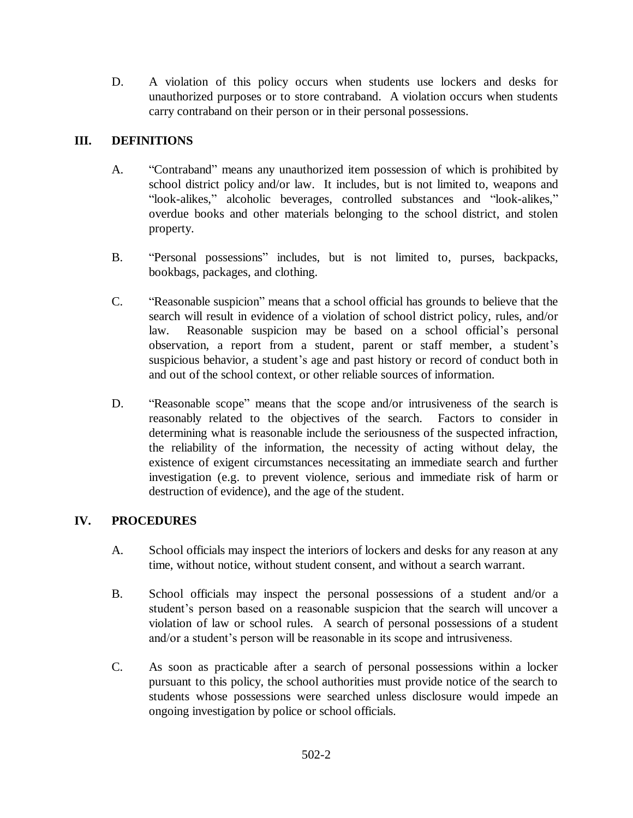D. A violation of this policy occurs when students use lockers and desks for unauthorized purposes or to store contraband. A violation occurs when students carry contraband on their person or in their personal possessions.

# **III. DEFINITIONS**

- A. "Contraband" means any unauthorized item possession of which is prohibited by school district policy and/or law. It includes, but is not limited to, weapons and "look-alikes," alcoholic beverages, controlled substances and "look-alikes," overdue books and other materials belonging to the school district, and stolen property.
- B. "Personal possessions" includes, but is not limited to, purses, backpacks, bookbags, packages, and clothing.
- C. "Reasonable suspicion" means that a school official has grounds to believe that the search will result in evidence of a violation of school district policy, rules, and/or law. Reasonable suspicion may be based on a school official's personal observation, a report from a student, parent or staff member, a student's suspicious behavior, a student's age and past history or record of conduct both in and out of the school context, or other reliable sources of information.
- D. "Reasonable scope" means that the scope and/or intrusiveness of the search is reasonably related to the objectives of the search. Factors to consider in determining what is reasonable include the seriousness of the suspected infraction, the reliability of the information, the necessity of acting without delay, the existence of exigent circumstances necessitating an immediate search and further investigation (e.g. to prevent violence, serious and immediate risk of harm or destruction of evidence), and the age of the student.

# **IV. PROCEDURES**

- A. School officials may inspect the interiors of lockers and desks for any reason at any time, without notice, without student consent, and without a search warrant.
- B. School officials may inspect the personal possessions of a student and/or a student's person based on a reasonable suspicion that the search will uncover a violation of law or school rules. A search of personal possessions of a student and/or a student's person will be reasonable in its scope and intrusiveness.
- C. As soon as practicable after a search of personal possessions within a locker pursuant to this policy, the school authorities must provide notice of the search to students whose possessions were searched unless disclosure would impede an ongoing investigation by police or school officials.